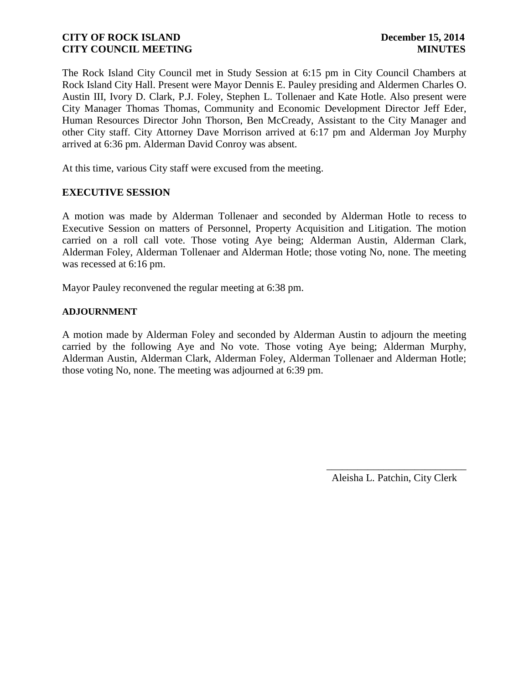The Rock Island City Council met in Study Session at 6:15 pm in City Council Chambers at Rock Island City Hall. Present were Mayor Dennis E. Pauley presiding and Aldermen Charles O. Austin III, Ivory D. Clark, P.J. Foley, Stephen L. Tollenaer and Kate Hotle. Also present were City Manager Thomas Thomas, Community and Economic Development Director Jeff Eder, Human Resources Director John Thorson, Ben McCready, Assistant to the City Manager and other City staff. City Attorney Dave Morrison arrived at 6:17 pm and Alderman Joy Murphy arrived at 6:36 pm. Alderman David Conroy was absent.

At this time, various City staff were excused from the meeting.

### **EXECUTIVE SESSION**

A motion was made by Alderman Tollenaer and seconded by Alderman Hotle to recess to Executive Session on matters of Personnel, Property Acquisition and Litigation. The motion carried on a roll call vote. Those voting Aye being; Alderman Austin, Alderman Clark, Alderman Foley, Alderman Tollenaer and Alderman Hotle; those voting No, none. The meeting was recessed at 6:16 pm.

Mayor Pauley reconvened the regular meeting at 6:38 pm.

### **ADJOURNMENT**

A motion made by Alderman Foley and seconded by Alderman Austin to adjourn the meeting carried by the following Aye and No vote. Those voting Aye being; Alderman Murphy, Alderman Austin, Alderman Clark, Alderman Foley, Alderman Tollenaer and Alderman Hotle; those voting No, none. The meeting was adjourned at 6:39 pm.

Aleisha L. Patchin, City Clerk

 $\frac{1}{2}$  ,  $\frac{1}{2}$  ,  $\frac{1}{2}$  ,  $\frac{1}{2}$  ,  $\frac{1}{2}$  ,  $\frac{1}{2}$  ,  $\frac{1}{2}$  ,  $\frac{1}{2}$  ,  $\frac{1}{2}$  ,  $\frac{1}{2}$  ,  $\frac{1}{2}$  ,  $\frac{1}{2}$  ,  $\frac{1}{2}$  ,  $\frac{1}{2}$  ,  $\frac{1}{2}$  ,  $\frac{1}{2}$  ,  $\frac{1}{2}$  ,  $\frac{1}{2}$  ,  $\frac{1$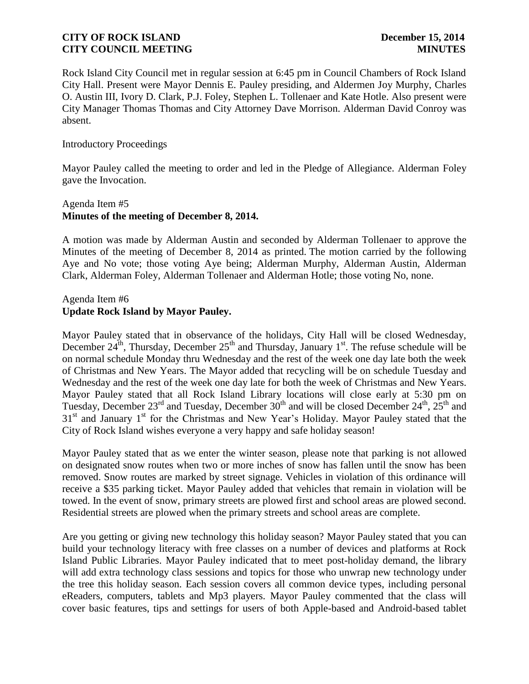Rock Island City Council met in regular session at 6:45 pm in Council Chambers of Rock Island City Hall. Present were Mayor Dennis E. Pauley presiding, and Aldermen Joy Murphy, Charles O. Austin III, Ivory D. Clark, P.J. Foley, Stephen L. Tollenaer and Kate Hotle. Also present were City Manager Thomas Thomas and City Attorney Dave Morrison. Alderman David Conroy was absent.

### Introductory Proceedings

Mayor Pauley called the meeting to order and led in the Pledge of Allegiance. Alderman Foley gave the Invocation.

# Agenda Item #5 **Minutes of the meeting of December 8, 2014.**

A motion was made by Alderman Austin and seconded by Alderman Tollenaer to approve the Minutes of the meeting of December 8, 2014 as printed. The motion carried by the following Aye and No vote; those voting Aye being; Alderman Murphy, Alderman Austin, Alderman Clark, Alderman Foley, Alderman Tollenaer and Alderman Hotle; those voting No, none.

# Agenda Item #6 **Update Rock Island by Mayor Pauley.**

Mayor Pauley stated that in observance of the holidays, City Hall will be closed Wednesday, December  $24^{\text{th}}$ , Thursday, December  $25^{\text{th}}$  and Thursday, January 1<sup>st</sup>. The refuse schedule will be on normal schedule Monday thru Wednesday and the rest of the week one day late both the week of Christmas and New Years. The Mayor added that recycling will be on schedule Tuesday and Wednesday and the rest of the week one day late for both the week of Christmas and New Years. Mayor Pauley stated that all Rock Island Library locations will close early at 5:30 pm on Tuesday, December  $23^{\text{rd}}$  and Tuesday, December  $30^{\text{th}}$  and will be closed December  $24^{\text{th}}$ ,  $25^{\text{th}}$  and 31<sup>st</sup> and January 1<sup>st</sup> for the Christmas and New Year's Holiday. Mayor Pauley stated that the City of Rock Island wishes everyone a very happy and safe holiday season!

Mayor Pauley stated that as we enter the winter season, please note that parking is not allowed on designated snow routes when two or more inches of snow has fallen until the snow has been removed. Snow routes are marked by street signage. Vehicles in violation of this ordinance will receive a \$35 parking ticket. Mayor Pauley added that vehicles that remain in violation will be towed. In the event of snow, primary streets are plowed first and school areas are plowed second. Residential streets are plowed when the primary streets and school areas are complete.

Are you getting or giving new technology this holiday season? Mayor Pauley stated that you can build your technology literacy with free classes on a number of devices and platforms at Rock Island Public Libraries. Mayor Pauley indicated that to meet post-holiday demand, the library will add extra technology class sessions and topics for those who unwrap new technology under the tree this holiday season. Each session covers all common device types, including personal eReaders, computers, tablets and Mp3 players. Mayor Pauley commented that the class will cover basic features, tips and settings for users of both Apple-based and Android-based tablet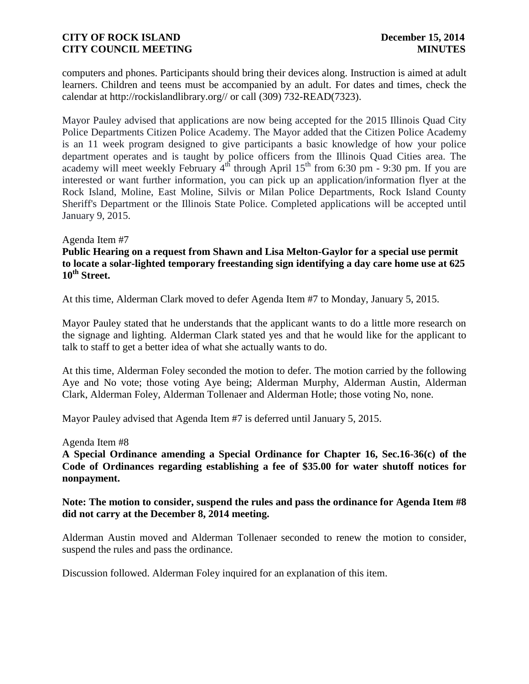computers and phones. Participants should bring their devices along. Instruction is aimed at adult learners. Children and teens must be accompanied by an adult. For dates and times, check the calendar at http://rockislandlibrary.org// or call (309) 732-READ(7323).

Mayor Pauley advised that applications are now being accepted for the 2015 Illinois Quad City Police Departments Citizen Police Academy. The Mayor added that the Citizen Police Academy is an 11 week program designed to give participants a basic knowledge of how your police department operates and is taught by police officers from the Illinois Quad Cities area. The academy will meet weekly February  $4<sup>th</sup>$  through April  $15<sup>th</sup>$  from 6:30 pm - 9:30 pm. If you are interested or want further information, you can pick up an application/information flyer at the Rock Island, Moline, East Moline, Silvis or Milan Police Departments, Rock Island County Sheriff's Department or the Illinois State Police. Completed applications will be accepted until January 9, 2015.

### Agenda Item #7

# **Public Hearing on a request from Shawn and Lisa Melton-Gaylor for a special use permit to locate a solar-lighted temporary freestanding sign identifying a day care home use at 625 10th Street.**

At this time, Alderman Clark moved to defer Agenda Item #7 to Monday, January 5, 2015.

Mayor Pauley stated that he understands that the applicant wants to do a little more research on the signage and lighting. Alderman Clark stated yes and that he would like for the applicant to talk to staff to get a better idea of what she actually wants to do.

At this time, Alderman Foley seconded the motion to defer. The motion carried by the following Aye and No vote; those voting Aye being; Alderman Murphy, Alderman Austin, Alderman Clark, Alderman Foley, Alderman Tollenaer and Alderman Hotle; those voting No, none.

Mayor Pauley advised that Agenda Item #7 is deferred until January 5, 2015.

#### Agenda Item #8

**A Special Ordinance amending a Special Ordinance for Chapter 16, Sec.16-36(c) of the Code of Ordinances regarding establishing a fee of \$35.00 for water shutoff notices for nonpayment.** 

### **Note: The motion to consider, suspend the rules and pass the ordinance for Agenda Item #8 did not carry at the December 8, 2014 meeting.**

Alderman Austin moved and Alderman Tollenaer seconded to renew the motion to consider, suspend the rules and pass the ordinance.

Discussion followed. Alderman Foley inquired for an explanation of this item.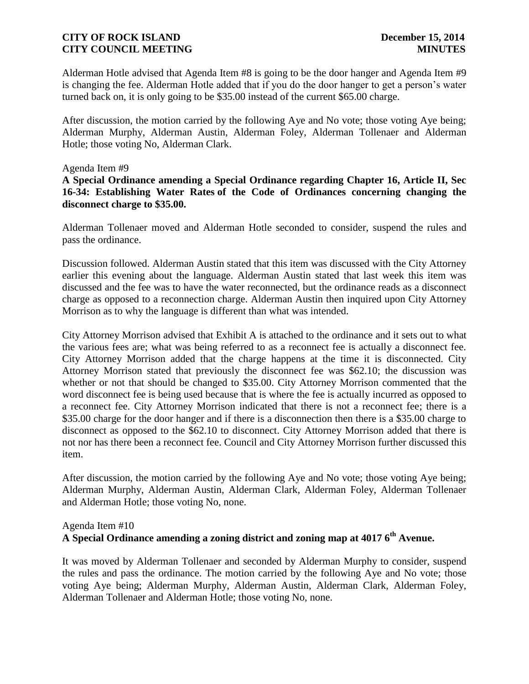Alderman Hotle advised that Agenda Item #8 is going to be the door hanger and Agenda Item #9 is changing the fee. Alderman Hotle added that if you do the door hanger to get a person's water turned back on, it is only going to be \$35.00 instead of the current \$65.00 charge.

After discussion, the motion carried by the following Aye and No vote; those voting Aye being; Alderman Murphy, Alderman Austin, Alderman Foley, Alderman Tollenaer and Alderman Hotle; those voting No, Alderman Clark.

### Agenda Item #9

**A Special Ordinance amending a Special Ordinance regarding Chapter 16, Article II, Sec 16-34: Establishing Water Rates of the Code of Ordinances concerning changing the disconnect charge to \$35.00.**

Alderman Tollenaer moved and Alderman Hotle seconded to consider, suspend the rules and pass the ordinance.

Discussion followed. Alderman Austin stated that this item was discussed with the City Attorney earlier this evening about the language. Alderman Austin stated that last week this item was discussed and the fee was to have the water reconnected, but the ordinance reads as a disconnect charge as opposed to a reconnection charge. Alderman Austin then inquired upon City Attorney Morrison as to why the language is different than what was intended.

City Attorney Morrison advised that Exhibit A is attached to the ordinance and it sets out to what the various fees are; what was being referred to as a reconnect fee is actually a disconnect fee. City Attorney Morrison added that the charge happens at the time it is disconnected. City Attorney Morrison stated that previously the disconnect fee was \$62.10; the discussion was whether or not that should be changed to \$35.00. City Attorney Morrison commented that the word disconnect fee is being used because that is where the fee is actually incurred as opposed to a reconnect fee. City Attorney Morrison indicated that there is not a reconnect fee; there is a \$35.00 charge for the door hanger and if there is a disconnection then there is a \$35.00 charge to disconnect as opposed to the \$62.10 to disconnect. City Attorney Morrison added that there is not nor has there been a reconnect fee. Council and City Attorney Morrison further discussed this item.

After discussion, the motion carried by the following Aye and No vote; those voting Aye being; Alderman Murphy, Alderman Austin, Alderman Clark, Alderman Foley, Alderman Tollenaer and Alderman Hotle; those voting No, none.

#### Agenda Item #10

# **A Special Ordinance amending a zoning district and zoning map at 4017 6th Avenue.**

It was moved by Alderman Tollenaer and seconded by Alderman Murphy to consider, suspend the rules and pass the ordinance. The motion carried by the following Aye and No vote; those voting Aye being; Alderman Murphy, Alderman Austin, Alderman Clark, Alderman Foley, Alderman Tollenaer and Alderman Hotle; those voting No, none.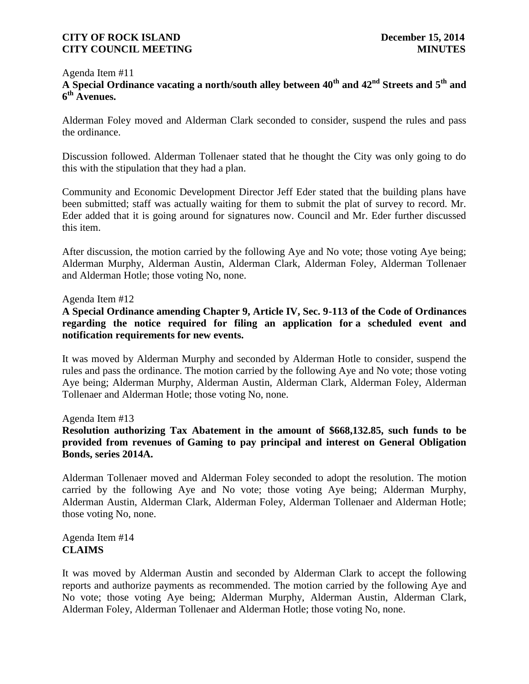## Agenda Item #11 **A Special Ordinance vacating a north/south alley between 40th and 42nd Streets and 5th and 6 th Avenues.**

Alderman Foley moved and Alderman Clark seconded to consider, suspend the rules and pass the ordinance.

Discussion followed. Alderman Tollenaer stated that he thought the City was only going to do this with the stipulation that they had a plan.

Community and Economic Development Director Jeff Eder stated that the building plans have been submitted; staff was actually waiting for them to submit the plat of survey to record. Mr. Eder added that it is going around for signatures now. Council and Mr. Eder further discussed this item.

After discussion, the motion carried by the following Aye and No vote; those voting Aye being; Alderman Murphy, Alderman Austin, Alderman Clark, Alderman Foley, Alderman Tollenaer and Alderman Hotle; those voting No, none.

Agenda Item #12

**A Special Ordinance amending Chapter 9, Article IV, Sec. 9-113 of the Code of Ordinances regarding the notice required for filing an application for a scheduled event and notification requirements for new events.**

It was moved by Alderman Murphy and seconded by Alderman Hotle to consider, suspend the rules and pass the ordinance. The motion carried by the following Aye and No vote; those voting Aye being; Alderman Murphy, Alderman Austin, Alderman Clark, Alderman Foley, Alderman Tollenaer and Alderman Hotle; those voting No, none.

Agenda Item #13

**Resolution authorizing Tax Abatement in the amount of \$668,132.85, such funds to be provided from revenues of Gaming to pay principal and interest on General Obligation Bonds, series 2014A.**

Alderman Tollenaer moved and Alderman Foley seconded to adopt the resolution. The motion carried by the following Aye and No vote; those voting Aye being; Alderman Murphy, Alderman Austin, Alderman Clark, Alderman Foley, Alderman Tollenaer and Alderman Hotle; those voting No, none.

Agenda Item #14 **CLAIMS**

It was moved by Alderman Austin and seconded by Alderman Clark to accept the following reports and authorize payments as recommended. The motion carried by the following Aye and No vote; those voting Aye being; Alderman Murphy, Alderman Austin, Alderman Clark, Alderman Foley, Alderman Tollenaer and Alderman Hotle; those voting No, none.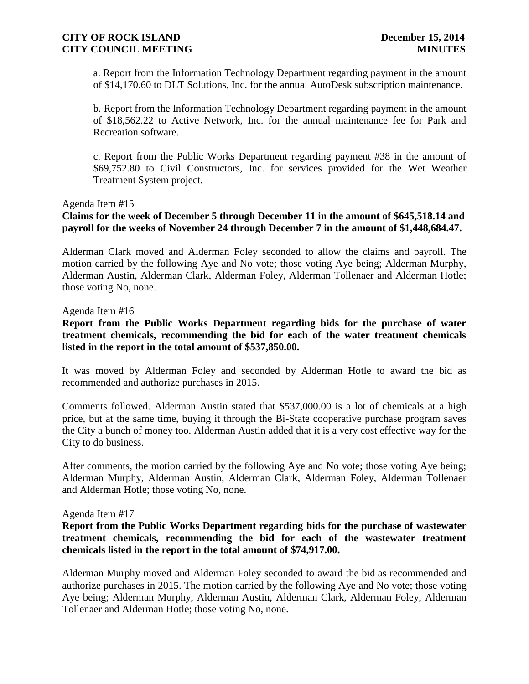a. Report from the Information Technology Department regarding payment in the amount of \$14,170.60 to DLT Solutions, Inc. for the annual AutoDesk subscription maintenance.

b. Report from the Information Technology Department regarding payment in the amount of \$18,562.22 to Active Network, Inc. for the annual maintenance fee for Park and Recreation software.

c. Report from the Public Works Department regarding payment #38 in the amount of \$69,752.80 to Civil Constructors, Inc. for services provided for the Wet Weather Treatment System project.

### Agenda Item #15

# **Claims for the week of December 5 through December 11 in the amount of \$645,518.14 and payroll for the weeks of November 24 through December 7 in the amount of \$1,448,684.47.**

Alderman Clark moved and Alderman Foley seconded to allow the claims and payroll. The motion carried by the following Aye and No vote; those voting Aye being; Alderman Murphy, Alderman Austin, Alderman Clark, Alderman Foley, Alderman Tollenaer and Alderman Hotle; those voting No, none.

#### Agenda Item #16

**Report from the Public Works Department regarding bids for the purchase of water treatment chemicals, recommending the bid for each of the water treatment chemicals listed in the report in the total amount of \$537,850.00.** 

It was moved by Alderman Foley and seconded by Alderman Hotle to award the bid as recommended and authorize purchases in 2015.

Comments followed. Alderman Austin stated that \$537,000.00 is a lot of chemicals at a high price, but at the same time, buying it through the Bi-State cooperative purchase program saves the City a bunch of money too. Alderman Austin added that it is a very cost effective way for the City to do business.

After comments, the motion carried by the following Aye and No vote; those voting Aye being; Alderman Murphy, Alderman Austin, Alderman Clark, Alderman Foley, Alderman Tollenaer and Alderman Hotle; those voting No, none.

#### Agenda Item #17

**Report from the Public Works Department regarding bids for the purchase of wastewater treatment chemicals, recommending the bid for each of the wastewater treatment chemicals listed in the report in the total amount of \$74,917.00.** 

Alderman Murphy moved and Alderman Foley seconded to award the bid as recommended and authorize purchases in 2015. The motion carried by the following Aye and No vote; those voting Aye being; Alderman Murphy, Alderman Austin, Alderman Clark, Alderman Foley, Alderman Tollenaer and Alderman Hotle; those voting No, none.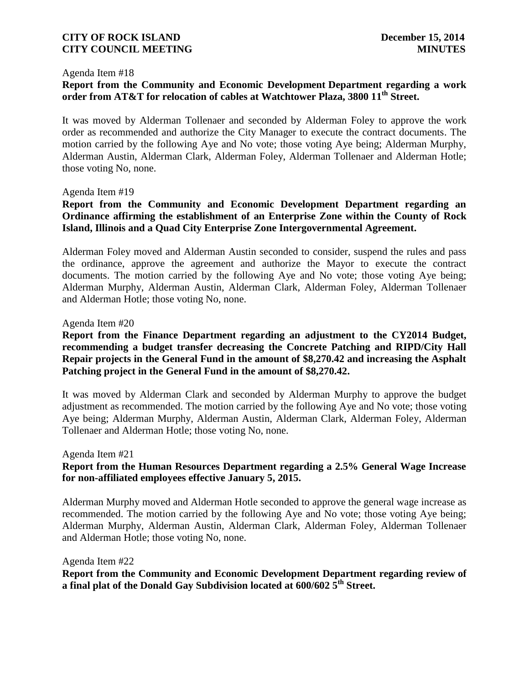#### Agenda Item #18

# **Report from the Community and Economic Development Department regarding a work order from AT&T for relocation of cables at Watchtower Plaza, 3800 11th Street.**

It was moved by Alderman Tollenaer and seconded by Alderman Foley to approve the work order as recommended and authorize the City Manager to execute the contract documents. The motion carried by the following Aye and No vote; those voting Aye being; Alderman Murphy, Alderman Austin, Alderman Clark, Alderman Foley, Alderman Tollenaer and Alderman Hotle; those voting No, none.

#### Agenda Item #19

# **Report from the Community and Economic Development Department regarding an Ordinance affirming the establishment of an Enterprise Zone within the County of Rock Island, Illinois and a Quad City Enterprise Zone Intergovernmental Agreement.**

Alderman Foley moved and Alderman Austin seconded to consider, suspend the rules and pass the ordinance, approve the agreement and authorize the Mayor to execute the contract documents. The motion carried by the following Aye and No vote; those voting Aye being; Alderman Murphy, Alderman Austin, Alderman Clark, Alderman Foley, Alderman Tollenaer and Alderman Hotle; those voting No, none.

#### Agenda Item #20

# **Report from the Finance Department regarding an adjustment to the CY2014 Budget, recommending a budget transfer decreasing the Concrete Patching and RIPD/City Hall Repair projects in the General Fund in the amount of \$8,270.42 and increasing the Asphalt Patching project in the General Fund in the amount of \$8,270.42.**

It was moved by Alderman Clark and seconded by Alderman Murphy to approve the budget adjustment as recommended. The motion carried by the following Aye and No vote; those voting Aye being; Alderman Murphy, Alderman Austin, Alderman Clark, Alderman Foley, Alderman Tollenaer and Alderman Hotle; those voting No, none.

#### Agenda Item #21

# **Report from the Human Resources Department regarding a 2.5% General Wage Increase for non-affiliated employees effective January 5, 2015.**

Alderman Murphy moved and Alderman Hotle seconded to approve the general wage increase as recommended. The motion carried by the following Aye and No vote; those voting Aye being; Alderman Murphy, Alderman Austin, Alderman Clark, Alderman Foley, Alderman Tollenaer and Alderman Hotle; those voting No, none.

Agenda Item #22

**Report from the Community and Economic Development Department regarding review of a final plat of the Donald Gay Subdivision located at 600/602 5th Street.**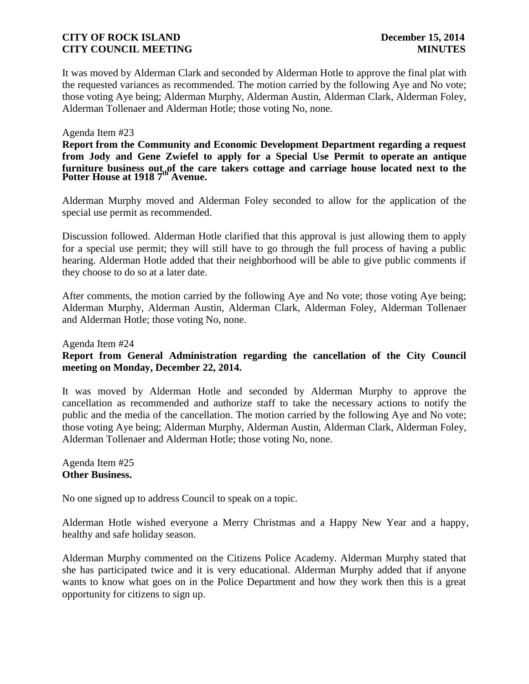It was moved by Alderman Clark and seconded by Alderman Hotle to approve the final plat with the requested variances as recommended. The motion carried by the following Aye and No vote; those voting Aye being; Alderman Murphy, Alderman Austin, Alderman Clark, Alderman Foley, Alderman Tollenaer and Alderman Hotle; those voting No, none.

### Agenda Item #23

furniture business out of the care takers cottage and carriage house located next to the<br>Potter House at 1918 7<sup>th</sup> Avenue. **Report from the Community and Economic Development Department regarding a request from Jody and Gene Zwiefel to apply for a Special Use Permit to operate an antique** 

Alderman Murphy moved and Alderman Foley seconded to allow for the application of the special use permit as recommended.

Discussion followed. Alderman Hotle clarified that this approval is just allowing them to apply for a special use permit; they will still have to go through the full process of having a public hearing. Alderman Hotle added that their neighborhood will be able to give public comments if they choose to do so at a later date.

After comments, the motion carried by the following Aye and No vote; those voting Aye being; Alderman Murphy, Alderman Austin, Alderman Clark, Alderman Foley, Alderman Tollenaer and Alderman Hotle; those voting No, none.

Agenda Item #24

# **Report from General Administration regarding the cancellation of the City Council meeting on Monday, December 22, 2014.**

It was moved by Alderman Hotle and seconded by Alderman Murphy to approve the cancellation as recommended and authorize staff to take the necessary actions to notify the public and the media of the cancellation. The motion carried by the following Aye and No vote; those voting Aye being; Alderman Murphy, Alderman Austin, Alderman Clark, Alderman Foley, Alderman Tollenaer and Alderman Hotle; those voting No, none.

Agenda Item #25 **Other Business.** 

No one signed up to address Council to speak on a topic.

Alderman Hotle wished everyone a Merry Christmas and a Happy New Year and a happy, healthy and safe holiday season.

Alderman Murphy commented on the Citizens Police Academy. Alderman Murphy stated that she has participated twice and it is very educational. Alderman Murphy added that if anyone wants to know what goes on in the Police Department and how they work then this is a great opportunity for citizens to sign up.